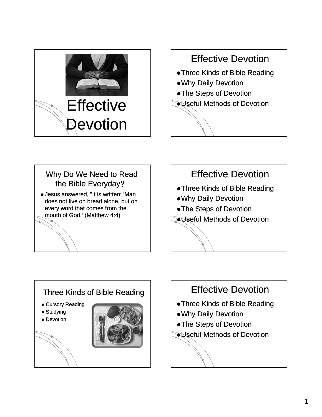

### Effective Devotion

- Three Kinds of Bible Reading
- Why Daily Devotion
- The Steps of Devotion
- **EUseful Methods of Devotion**



# Effective Devotion • Three Kinds of Bible Reading • Why Daily Devotion • The Steps of Devotion **EUseful Methods of Devotion**



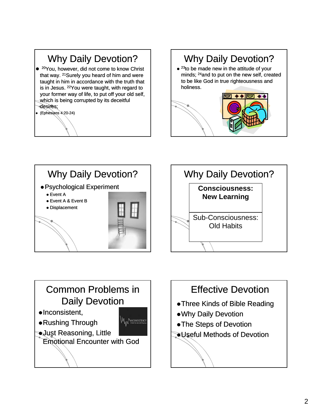## Why Daily Devotion?

- <sup>20</sup>You, however, did not come to know Christ that way. 21Surely you heard of him and were taught in him in accordance with the truth that is in Jesus. 22You were taught, with regard to your former way of life, to put off your old self, which is being corrupted by its deceitful desires;
- z (Ephesians 4:20 4:20-24)

### Why Daily Devotion?  $\bullet$  <sup>23</sup>to be made new in the attitude of your minds; 24and to put on the new self, created to be like God in true righteousness and holiness.





## Common Problems in Daily Devotion

- $\bullet$ Inconsistent,
- Rushing Through

**Just Reasoning, Little** Emotional Encounter with God

**MWANCONSISTENCY** 

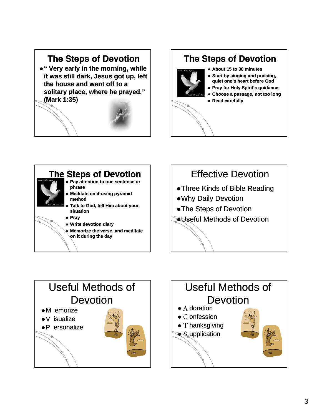#### The Steps of Devotion

z **" Very early in the morning, while it was still dark, Jesus got up, left the house and went off to a solitary place where he prayed solitary place, where he prayed. " (Mark 1:35)**